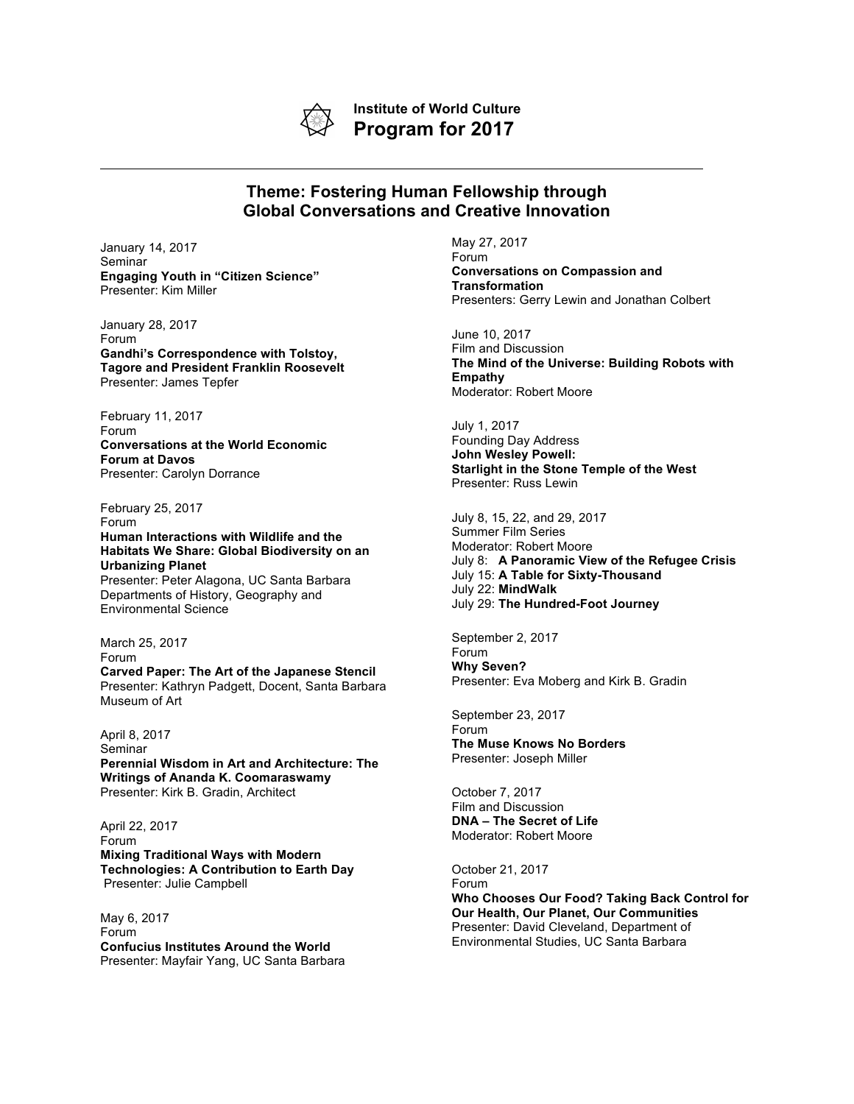

**Institute of World Culture Program for 2017**

## **Theme: Fostering Human Fellowship through Global Conversations and Creative Innovation**

January 14, 2017 Seminar **Engaging Youth in "Citizen Science"** Presenter: Kim Miller

January 28, 2017 Forum **Gandhi's Correspondence with Tolstoy, Tagore and President Franklin Roosevelt** Presenter: James Tepfer

February 11, 2017 Forum **Conversations at the World Economic Forum at Davos** Presenter: Carolyn Dorrance

Environmental Science

Museum of Art

February 25, 2017 Forum **Human Interactions with Wildlife and the Habitats We Share: Global Biodiversity on an Urbanizing Planet** Presenter: Peter Alagona, UC Santa Barbara Departments of History, Geography and

March 25, 2017 Forum **Carved Paper: The Art of the Japanese Stencil** Presenter: Kathryn Padgett, Docent, Santa Barbara

April 8, 2017 Seminar **Perennial Wisdom in Art and Architecture: The Writings of Ananda K. Coomaraswamy** Presenter: Kirk B. Gradin, Architect

April 22, 2017 Forum **Mixing Traditional Ways with Modern Technologies: A Contribution to Earth Day** Presenter: Julie Campbell

May 6, 2017 Forum **Confucius Institutes Around the World** Presenter: Mayfair Yang, UC Santa Barbara May 27, 2017 Forum **Conversations on Compassion and Transformation** Presenters: Gerry Lewin and Jonathan Colbert

June 10, 2017 Film and Discussion **The Mind of the Universe: Building Robots with Empathy** Moderator: Robert Moore

July 1, 2017 Founding Day Address **John Wesley Powell: Starlight in the Stone Temple of the West** Presenter: Russ Lewin

July 8, 15, 22, and 29, 2017 Summer Film Series Moderator: Robert Moore July 8: **A Panoramic View of the Refugee Crisis** July 15: **A Table for Sixty-Thousand** July 22: **MindWalk** July 29: **The Hundred-Foot Journey**

September 2, 2017 Forum **Why Seven?** Presenter: Eva Moberg and Kirk B. Gradin

September 23, 2017 Forum **The Muse Knows No Borders** Presenter: Joseph Miller

October 7, 2017 Film and Discussion **DNA – The Secret of Life** Moderator: Robert Moore

October 21, 2017 Forum **Who Chooses Our Food? Taking Back Control for Our Health, Our Planet, Our Communities** Presenter: David Cleveland, Department of Environmental Studies, UC Santa Barbara